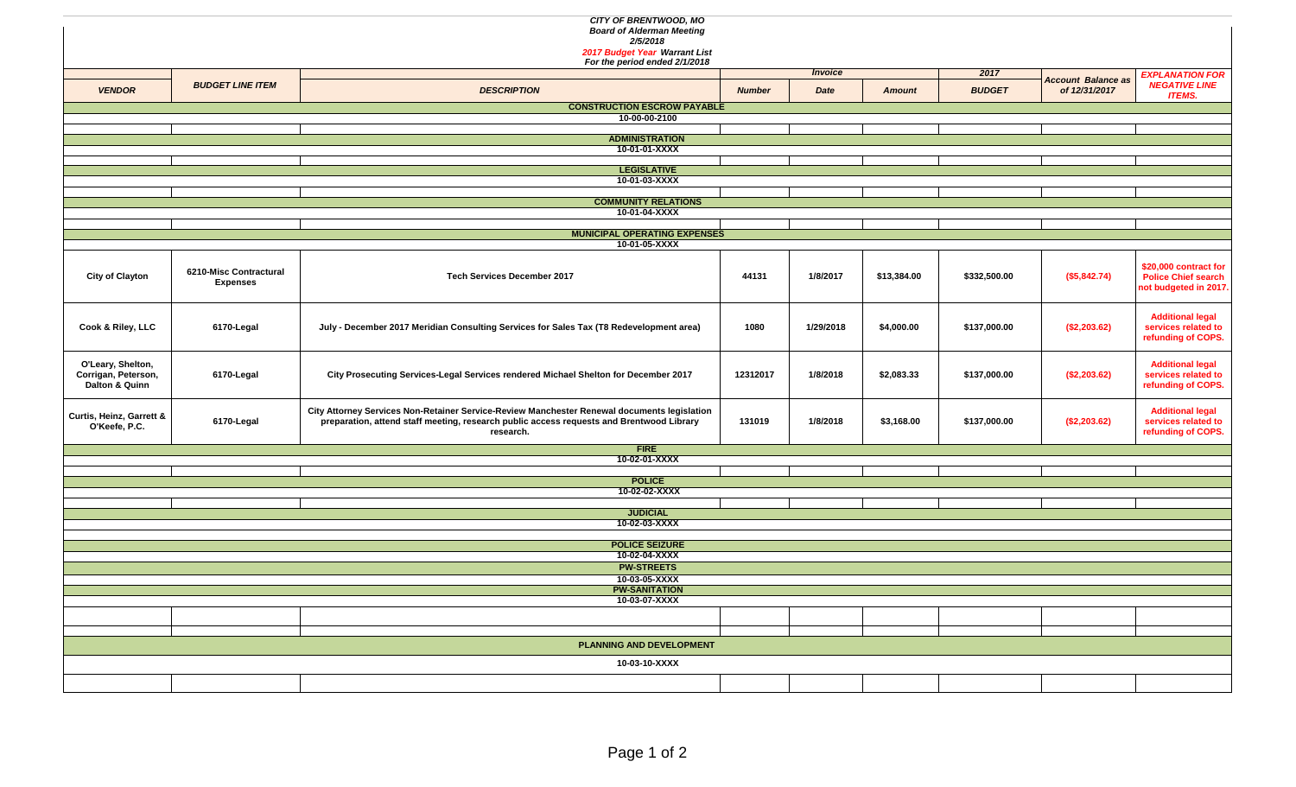|                                          |                         | CITY OF BRENTWOOD, MO<br><b>Board of Alderman Meeting</b>                                   |               |                |               |               |                           |                                                |  |  |  |  |  |
|------------------------------------------|-------------------------|---------------------------------------------------------------------------------------------|---------------|----------------|---------------|---------------|---------------------------|------------------------------------------------|--|--|--|--|--|
|                                          |                         | 2/5/2018                                                                                    |               |                |               |               |                           |                                                |  |  |  |  |  |
|                                          |                         | 2017 Budget Year Warrant List                                                               |               |                |               |               |                           |                                                |  |  |  |  |  |
|                                          |                         | For the period ended 2/1/2018                                                               |               |                |               |               |                           |                                                |  |  |  |  |  |
|                                          | <b>BUDGET LINE ITEM</b> |                                                                                             |               | <b>Invoice</b> |               | 2017          | <b>Account Balance as</b> | <b>EXPLANATION FOR</b>                         |  |  |  |  |  |
| <b>VENDOR</b>                            |                         | <b>DESCRIPTION</b>                                                                          | <b>Number</b> | Date           | <b>Amount</b> | <b>BUDGET</b> | of 12/31/2017             | <b>NEGATIVE LINE</b><br><b>ITEMS.</b>          |  |  |  |  |  |
| <b>CONSTRUCTION ESCROW PAYABLE</b>       |                         |                                                                                             |               |                |               |               |                           |                                                |  |  |  |  |  |
| 10-00-00-2100                            |                         |                                                                                             |               |                |               |               |                           |                                                |  |  |  |  |  |
| <b>ADMINISTRATION</b>                    |                         |                                                                                             |               |                |               |               |                           |                                                |  |  |  |  |  |
| 10-01-01-XXXX                            |                         |                                                                                             |               |                |               |               |                           |                                                |  |  |  |  |  |
|                                          |                         | <b>LEGISLATIVE</b>                                                                          |               |                |               |               |                           |                                                |  |  |  |  |  |
|                                          |                         | 10-01-03-XXXX                                                                               |               |                |               |               |                           |                                                |  |  |  |  |  |
|                                          |                         |                                                                                             |               |                |               |               |                           |                                                |  |  |  |  |  |
|                                          |                         | <b>COMMUNITY RELATIONS</b>                                                                  |               |                |               |               |                           |                                                |  |  |  |  |  |
|                                          |                         | 10-01-04-XXXX                                                                               |               |                |               |               |                           |                                                |  |  |  |  |  |
| <b>MUNICIPAL OPERATING EXPENSES</b>      |                         |                                                                                             |               |                |               |               |                           |                                                |  |  |  |  |  |
|                                          |                         | 10-01-05-XXXX                                                                               |               |                |               |               |                           |                                                |  |  |  |  |  |
|                                          |                         |                                                                                             |               |                |               |               |                           | \$20,000 contract for                          |  |  |  |  |  |
| <b>City of Clayton</b>                   | 6210-Misc Contractural  | <b>Tech Services December 2017</b>                                                          | 44131         | 1/8/2017       | \$13,384.00   | \$332,500.00  | (\$5,842.74)              | <b>Police Chief search</b>                     |  |  |  |  |  |
|                                          | <b>Expenses</b>         |                                                                                             |               |                |               |               |                           | not budgeted in 2017.                          |  |  |  |  |  |
|                                          |                         |                                                                                             |               |                |               |               |                           |                                                |  |  |  |  |  |
|                                          |                         |                                                                                             |               |                |               |               |                           | <b>Additional legal</b>                        |  |  |  |  |  |
| Cook & Riley, LLC                        | 6170-Legal              | July - December 2017 Meridian Consulting Services for Sales Tax (T8 Redevelopment area)     | 1080          | 1/29/2018      | \$4,000.00    | \$137,000.00  | (\$2,203.62)              | services related to                            |  |  |  |  |  |
|                                          |                         |                                                                                             |               |                |               |               |                           | refunding of COPS.                             |  |  |  |  |  |
|                                          |                         |                                                                                             |               |                |               |               |                           |                                                |  |  |  |  |  |
| O'Leary, Shelton,<br>Corrigan, Peterson, | 6170-Legal              | City Prosecuting Services-Legal Services rendered Michael Shelton for December 2017         | 12312017      | 1/8/2018       | \$2,083.33    | \$137,000.00  | (\$2,203.62)              | <b>Additional legal</b><br>services related to |  |  |  |  |  |
| Dalton & Quinn                           |                         |                                                                                             |               |                |               |               |                           | refunding of COPS.                             |  |  |  |  |  |
|                                          |                         |                                                                                             |               |                |               |               |                           |                                                |  |  |  |  |  |
| Curtis, Heinz, Garrett &                 |                         | City Attorney Services Non-Retainer Service-Review Manchester Renewal documents legislation |               |                |               |               |                           | <b>Additional legal</b>                        |  |  |  |  |  |
| O'Keefe, P.C.                            | 6170-Legal              | preparation, attend staff meeting, research public access requests and Brentwood Library    | 131019        | 1/8/2018       | \$3,168.00    | \$137,000.00  | (\$2,203.62)              | services related to                            |  |  |  |  |  |
|                                          |                         | research.                                                                                   |               |                |               |               |                           | refunding of COPS.                             |  |  |  |  |  |
|                                          |                         | <b>FIRE</b><br>10-02-01-XXXX                                                                |               |                |               |               |                           |                                                |  |  |  |  |  |
|                                          |                         |                                                                                             |               |                |               |               |                           |                                                |  |  |  |  |  |
|                                          |                         | <b>POLICE</b>                                                                               |               |                |               |               |                           |                                                |  |  |  |  |  |
|                                          |                         | 10-02-02-XXXX                                                                               |               |                |               |               |                           |                                                |  |  |  |  |  |
|                                          |                         | <b>JUDICIAL</b>                                                                             |               |                |               |               |                           |                                                |  |  |  |  |  |
|                                          |                         | 10-02-03-XXXX                                                                               |               |                |               |               |                           |                                                |  |  |  |  |  |
|                                          |                         |                                                                                             |               |                |               |               |                           |                                                |  |  |  |  |  |
|                                          |                         | <b>POLICE SEIZURE</b><br>10-02-04-XXXX                                                      |               |                |               |               |                           |                                                |  |  |  |  |  |
|                                          |                         | <b>PW-STREETS</b>                                                                           |               |                |               |               |                           |                                                |  |  |  |  |  |
|                                          |                         | 10-03-05-XXXX                                                                               |               |                |               |               |                           |                                                |  |  |  |  |  |
|                                          |                         | <b>PW-SANITATION</b>                                                                        |               |                |               |               |                           |                                                |  |  |  |  |  |
|                                          |                         | 10-03-07-XXXX                                                                               |               |                |               |               |                           |                                                |  |  |  |  |  |
|                                          |                         |                                                                                             |               |                |               |               |                           |                                                |  |  |  |  |  |
|                                          |                         |                                                                                             |               |                |               |               |                           |                                                |  |  |  |  |  |
| PLANNING AND DEVELOPMENT                 |                         |                                                                                             |               |                |               |               |                           |                                                |  |  |  |  |  |
| 10-03-10-XXXX                            |                         |                                                                                             |               |                |               |               |                           |                                                |  |  |  |  |  |
|                                          |                         |                                                                                             |               |                |               |               |                           |                                                |  |  |  |  |  |
|                                          |                         |                                                                                             |               |                |               |               |                           |                                                |  |  |  |  |  |